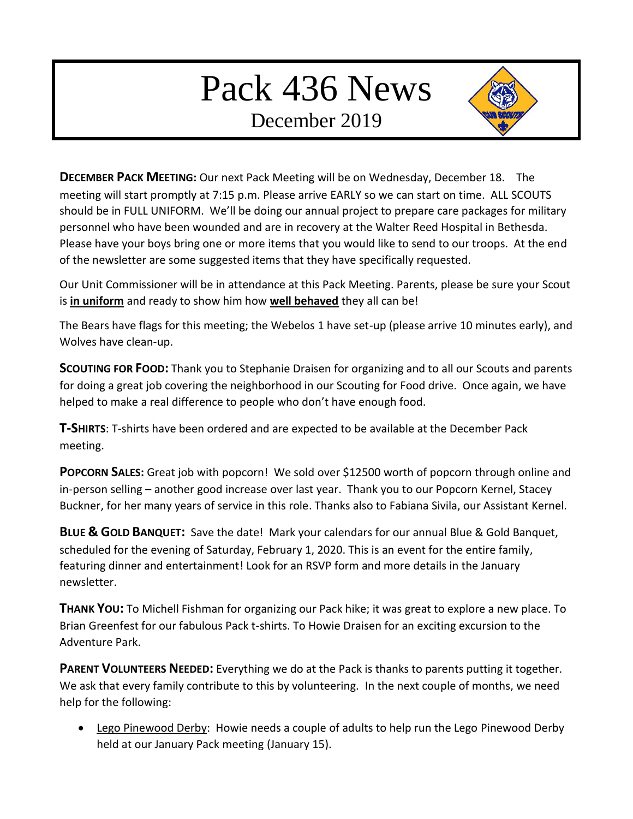# Pack 436 News

December 2019



**DECEMBER PACK MEETING:** Our next Pack Meeting will be on Wednesday, December 18. The meeting will start promptly at 7:15 p.m. Please arrive EARLY so we can start on time. ALL SCOUTS should be in FULL UNIFORM. We'll be doing our annual project to prepare care packages for military personnel who have been wounded and are in recovery at the Walter Reed Hospital in Bethesda. Please have your boys bring one or more items that you would like to send to our troops. At the end of the newsletter are some suggested items that they have specifically requested.

Our Unit Commissioner will be in attendance at this Pack Meeting. Parents, please be sure your Scout is **in uniform** and ready to show him how **well behaved** they all can be!

The Bears have flags for this meeting; the Webelos 1 have set-up (please arrive 10 minutes early), and Wolves have clean-up.

**SCOUTING FOR FOOD:** Thank you to Stephanie Draisen for organizing and to all our Scouts and parents for doing a great job covering the neighborhood in our Scouting for Food drive. Once again, we have helped to make a real difference to people who don't have enough food.

**T-SHIRTS**: T-shirts have been ordered and are expected to be available at the December Pack meeting.

**POPCORN SALES:** Great job with popcorn! We sold over \$12500 worth of popcorn through online and in-person selling – another good increase over last year. Thank you to our Popcorn Kernel, Stacey Buckner, for her many years of service in this role. Thanks also to Fabiana Sivila, our Assistant Kernel.

**BLUE & GOLD BANQUET:** Save the date! Mark your calendars for our annual Blue & Gold Banquet, scheduled for the evening of Saturday, February 1, 2020. This is an event for the entire family, featuring dinner and entertainment! Look for an RSVP form and more details in the January newsletter.

**THANK YOU:** To Michell Fishman for organizing our Pack hike; it was great to explore a new place. To Brian Greenfest for our fabulous Pack t-shirts. To Howie Draisen for an exciting excursion to the Adventure Park.

**PARENT VOLUNTEERS NEEDED:** Everything we do at the Pack is thanks to parents putting it together. We ask that every family contribute to this by volunteering. In the next couple of months, we need help for the following:

 Lego Pinewood Derby: Howie needs a couple of adults to help run the Lego Pinewood Derby held at our January Pack meeting (January 15).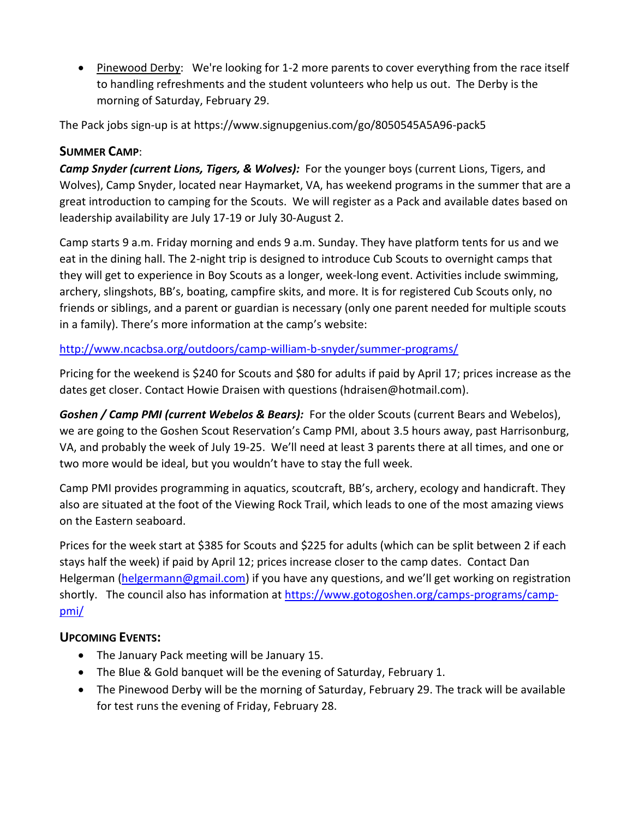• Pinewood Derby: We're looking for 1-2 more parents to cover everything from the race itself to handling refreshments and the student volunteers who help us out. The Derby is the morning of Saturday, February 29.

The Pack jobs sign-up is at https://www.signupgenius.com/go/8050545A5A96-pack5

## **SUMMER CAMP**:

*Camp Snyder (current Lions, Tigers, & Wolves):* For the younger boys (current Lions, Tigers, and Wolves), Camp Snyder, located near Haymarket, VA, has weekend programs in the summer that are a great introduction to camping for the Scouts. We will register as a Pack and available dates based on leadership availability are July 17-19 or July 30-August 2.

Camp starts 9 a.m. Friday morning and ends 9 a.m. Sunday. They have platform tents for us and we eat in the dining hall. The 2-night trip is designed to introduce Cub Scouts to overnight camps that they will get to experience in Boy Scouts as a longer, week-long event. Activities include swimming, archery, slingshots, BB's, boating, campfire skits, and more. It is for registered Cub Scouts only, no friends or siblings, and a parent or guardian is necessary (only one parent needed for multiple scouts in a family). There's more information at the camp's website:

## [http://www.ncacbsa.org/outdoors/camp-william-b-snyder/summer-programs/](about:blank)

Pricing for the weekend is \$240 for Scouts and \$80 for adults if paid by April 17; prices increase as the dates get closer. Contact Howie Draisen with questions (hdraisen@hotmail.com).

*Goshen / Camp PMI (current Webelos & Bears):* For the older Scouts (current Bears and Webelos), we are going to the Goshen Scout Reservation's Camp PMI, about 3.5 hours away, past Harrisonburg, VA, and probably the week of July 19-25. We'll need at least 3 parents there at all times, and one or two more would be ideal, but you wouldn't have to stay the full week.

Camp PMI provides programming in aquatics, scoutcraft, BB's, archery, ecology and handicraft. They also are situated at the foot of the Viewing Rock Trail, which leads to one of the most amazing views on the Eastern seaboard.

Prices for the week start at \$385 for Scouts and \$225 for adults (which can be split between 2 if each stays half the week) if paid by April 12; prices increase closer to the camp dates. Contact Dan Helgerman [\(helgermann@gmail.com\)](mailto:helgermann@gmail.com) if you have any questions, and we'll get working on registration shortly. The council also has information at [https://www.gotogoshen.org/camps-programs/camp](about:blank)[pmi/](about:blank)

## **UPCOMING EVENTS:**

- The January Pack meeting will be January 15.
- The Blue & Gold banquet will be the evening of Saturday, February 1.
- The Pinewood Derby will be the morning of Saturday, February 29. The track will be available for test runs the evening of Friday, February 28.